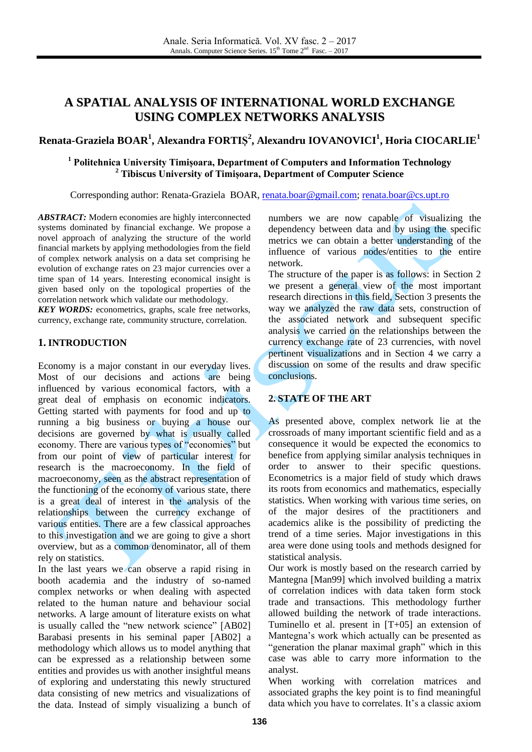# **A SPATIAL ANALYSIS OF INTERNATIONAL WORLD EXCHANGE USING COMPLEX NETWORKS ANALYSIS**

## **Renata-Graziela BOAR<sup>1</sup> , Alexandra FORTIȘ 2 , Alexandru IOVANOVICI<sup>1</sup> , Horia CIOCARLIE<sup>1</sup>**

## **<sup>1</sup> Politehnica University Timișoara, Department of Computers and Information Technology <sup>2</sup> Tibiscus University of Timișoara, Department of Computer Science**

Corresponding author: Renata-Graziela BOAR, [renata.boar@gmail.com;](mailto:renata.boar@gmail.com) [renata.boar@cs.upt.ro](mailto:renata.boar@cs.upt.ro)

*ABSTRACT:* Modern economies are highly interconnected systems dominated by financial exchange. We propose a novel approach of analyzing the structure of the world financial markets by applying methodologies from the field of complex network analysis on a data set comprising he evolution of exchange rates on 23 major currencies over a time span of 14 years. Interesting economical insight is given based only on the topological properties of the correlation network which validate our methodology.

*KEY WORDS:* econometrics, graphs, scale free networks, currency, exchange rate, community structure, correlation.

#### **1. INTRODUCTION**

Economy is a major constant in our everyday lives. Most of our decisions and actions are being influenced by various economical factors, with a great deal of emphasis on economic indicators. Getting started with payments for food and up to running a big business or buying a house our decisions are governed by what is usually called economy. There are various types of "economies" but from our point of view of particular interest for research is the macroeconomy. In the field of macroeconomy, seen as the abstract representation of the functioning of the economy of various state, there is a great deal of interest in the analysis of the relationships between the currency exchange of various entities. There are a few classical approaches to this investigation and we are going to give a short overview, but as a common denominator, all of them rely on statistics.

In the last years we can observe a rapid rising in booth academia and the industry of so-named complex networks or when dealing with aspected related to the human nature and behaviour social networks. A large amount of literature exists on what is usually called the "new network science" [AB02] Barabasi presents in his seminal paper [AB02] a methodology which allows us to model anything that can be expressed as a relationship between some entities and provides us with another insightful means of exploring and understating this newly structured data consisting of new metrics and visualizations of the data. Instead of simply visualizing a bunch of numbers we are now capable of visualizing the dependency between data and by using the specific metrics we can obtain a better understanding of the influence of various nodes/entities to the entire network.

The structure of the paper is as follows: in Section 2 we present a general view of the most important research directions in this field, Section 3 presents the way we analyzed the raw data sets, construction of the associated network and subsequent specific analysis we carried on the relationships between the currency exchange rate of 23 currencies, with novel pertinent visualizations and in Section 4 we carry a discussion on some of the results and draw specific conclusions.

#### **2. STATE OF THE ART**

As presented above, complex network lie at the crossroads of many important scientific field and as a consequence it would be expected the economics to benefice from applying similar analysis techniques in order to answer to their specific questions. Econometrics is a major field of study which draws its roots from economics and mathematics, especially statistics. When working with various time series, on of the major desires of the practitioners and academics alike is the possibility of predicting the trend of a time series. Major investigations in this area were done using tools and methods designed for statistical analysis.

Our work is mostly based on the research carried by Mantegna [Man99] which involved building a matrix of correlation indices with data taken form stock trade and transactions. This methodology further allowed building the network of trade interactions. Tuminello et al. present in [T+05] an extension of Mantegna's work which actually can be presented as "generation the planar maximal graph" which in this case was able to carry more information to the analyst.

When working with correlation matrices and associated graphs the key point is to find meaningful data which you have to correlates. It's a classic axiom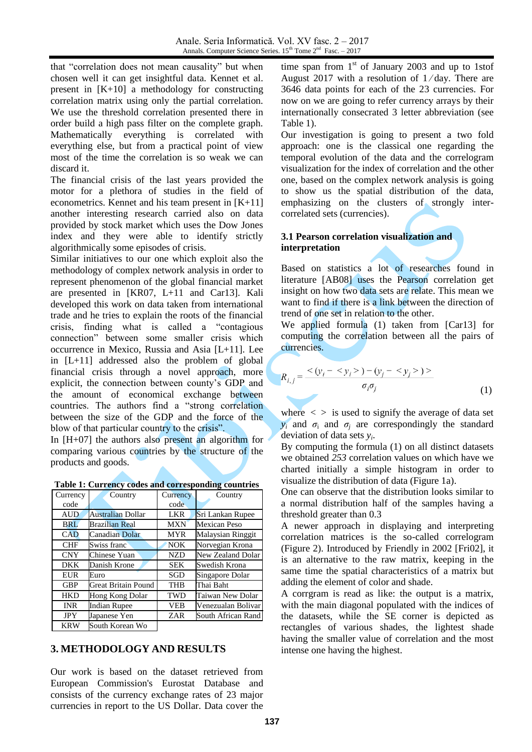that "correlation does not mean causality" but when chosen well it can get insightful data. Kennet et al. present in [K+10] a methodology for constructing correlation matrix using only the partial correlation. We use the threshold correlation presented there in order build a high pass filter on the complete graph. Mathematically everything is correlated with everything else, but from a practical point of view most of the time the correlation is so weak we can discard it.

The financial crisis of the last years provided the motor for a plethora of studies in the field of econometrics. Kennet and his team present in [K+11] another interesting research carried also on data provided by stock market which uses the Dow Jones index and they were able to identify strictly algorithmically some episodes of crisis.

Similar initiatives to our one which exploit also the methodology of complex network analysis in order to represent phenomenon of the global financial market are presented in [KR07, L+11 and Car13]. Kali developed this work on data taken from international trade and he tries to explain the roots of the financial crisis, finding what is called a "contagious connection" between some smaller crisis which occurrence in Mexico, Russia and Asia [L+11]. Lee in [L+11] addressed also the problem of global financial crisis through a novel approach, more explicit, the connection between county's GDP and the amount of economical exchange between countries. The authors find a "strong correlation between the size of the GDP and the force of the blow of that particular country to the crisis".

In [H+07] the authors also present an algorithm for comparing various countries by the structure of the products and goods.

**Table 1: Currency codes and corresponding countries**

| rabic 1: Carrency coucs and corresponding countries |                            |            |                     |
|-----------------------------------------------------|----------------------------|------------|---------------------|
| Currency                                            | Country                    | Currency   | Country             |
| code                                                |                            | code       |                     |
| <b>AUD</b>                                          | <b>Australian Dollar</b>   | <b>LKR</b> | Sri Lankan Rupee    |
| <b>BRL</b>                                          | <b>Brazilian Real</b>      | <b>MXN</b> | <b>Mexican Peso</b> |
| CAD                                                 | Canadian Dolar             | <b>MYR</b> | Malaysian Ringgit   |
| <b>CHF</b>                                          | Swiss franc                | NOK.       | Norvegian Krona     |
| <b>CNY</b>                                          | Chinese Yuan               | <b>NZD</b> | New Zealand Dolar   |
| <b>DKK</b>                                          | Danish Krone               | <b>SEK</b> | Swedish Krona       |
| <b>EUR</b>                                          | Euro                       | SGD        | Singapore Dolar     |
| <b>GBP</b>                                          | <b>Great Britain Pound</b> | <b>THB</b> | Thai Baht           |
| <b>HKD</b>                                          | Hong Kong Dolar            | TWD        | Taiwan New Dolar    |
| <b>INR</b>                                          | <b>Indian Rupee</b>        | <b>VEB</b> | Venezualan Bolivar  |
| <b>JPY</b>                                          | Japanese Yen               | ZAR        | South African Rand  |
| <b>KRW</b>                                          | South Korean Wo            |            |                     |

### **3. METHODOLOGY AND RESULTS**

Our work is based on the dataset retrieved from European Commission's Eurostat Database and consists of the currency exchange rates of 23 major currencies in report to the US Dollar. Data cover the time span from  $1<sup>st</sup>$  of January 2003 and up to 1stof August 2017 with a resolution of  $1/day$ . There are 3646 data points for each of the 23 currencies. For now on we are going to refer currency arrays by their internationally consecrated 3 letter abbreviation (see Table 1).

Our investigation is going to present a two fold approach: one is the classical one regarding the temporal evolution of the data and the correlogram visualization for the index of correlation and the other one, based on the complex network analysis is going to show us the spatial distribution of the data, emphasizing on the clusters of strongly intercorrelated sets (currencies).

#### **3.1 Pearson correlation visualization and interpretation**

Based on statistics a lot of researches found in literature [AB08] uses the Pearson correlation get insight on how two data sets are relate. This mean we want to find if there is a link between the direction of trend of one set in relation to the other.

We applied formula (1) taken from [Car13] for computing the correlation between all the pairs of currencies.

$$
R_{i,j} = \frac{<(y_i - ) - (y_j - ) >}{\sigma_i \sigma_j}
$$
 (1)

where  $\langle \rangle$  is used to signify the average of data set  $y_i$  and  $\sigma_i$  and  $\sigma_j$  are correspondingly the standard deviation of data sets *y<sup>i</sup>* .

By computing the formula (1) on all distinct datasets we obtained *253* correlation values on which have we charted initially a simple histogram in order to visualize the distribution of data (Figure 1a).

One can observe that the distribution looks similar to a normal distribution half of the samples having a threshold greater than 0.3

A newer approach in displaying and interpreting correlation matrices is the so-called correlogram (Figure 2). Introduced by Friendly in 2002 [Fri02], it is an alternative to the raw matrix, keeping in the same time the spatial characteristics of a matrix but adding the element of color and shade.

A corrgram is read as like: the output is a matrix, with the main diagonal populated with the indices of the datasets, while the SE corner is depicted as rectangles of various shades, the lightest shade having the smaller value of correlation and the most intense one having the highest.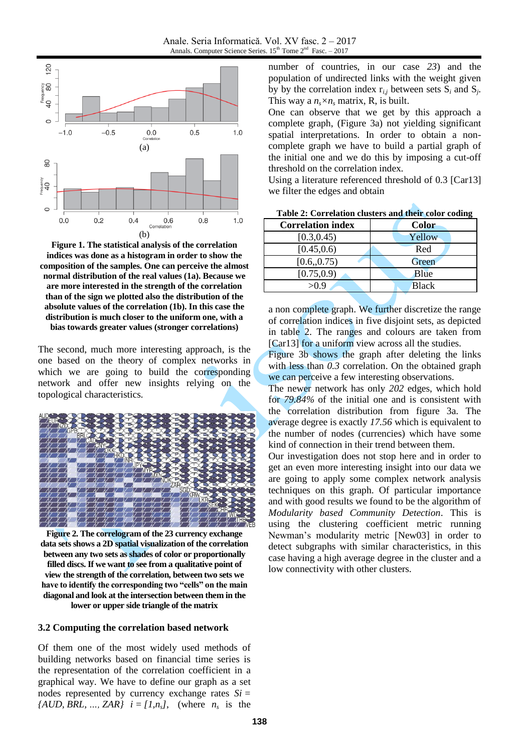

**Figure 1. The statistical analysis of the correlation indices was done as a histogram in order to show the composition of the samples. One can perceive the almost normal distribution of the real values (1a). Because we are more interested in the strength of the correlation than of the sign we plotted also the distribution of the absolute values of the correlation (1b). In this case the distribution is much closer to the uniform one, with a bias towards greater values (stronger correlations)**

The second, much more interesting approach, is the one based on the theory of complex networks in which we are going to build the corresponding network and offer new insights relying on the topological characteristics.



**Figure 2. The correlogram of the 23 currency exchange data sets shows a 2D spatial visualization of the correlation between any two sets as shades of color or proportionally filled discs. If we want to see from a qualitative point of view the strength of the correlation, between two sets we have to identify the corresponding two "cells" on the main diagonal and look at the intersection between them in the lower or upper side triangle of the matrix**

#### **3.2 Computing the correlation based network**

Of them one of the most widely used methods of building networks based on financial time series is the representation of the correlation coefficient in a graphical way. We have to define our graph as a set nodes represented by currency exchange rates *Si =*  ${AUD, BRL, ..., ZAR}$   $i = [1, n_s]$ , (where  $n_s$  is the

number of countries, in our case *23*) and the population of undirected links with the weight given by by the correlation index  $r_{i,j}$  between sets  $S_i$  and  $S_j$ . This way a  $n_s \times n_s$  matrix, R, is built.

One can observe that we get by this approach a complete graph, (Figure 3a) not yielding significant spatial interpretations. In order to obtain a noncomplete graph we have to build a partial graph of the initial one and we do this by imposing a cut-off threshold on the correlation index.

Using a literature referenced threshold of 0.3 [Car13] we filter the edges and obtain

| <b>Correlation index</b> | <b>Color</b> |
|--------------------------|--------------|
| [0.3, 0.45)              | Yellow       |
| [0.45, 0.6]              | Red          |
| [0.6, 0.75)              | Green        |
| [0.75, 0.9)              | Blue         |
| > 0.9                    | <b>Black</b> |

**Table 2: Correlation clusters and their color coding** 

a non complete graph. We further discretize the range of correlation indices in five disjoint sets, as depicted in table 2. The ranges and colours are taken from [Car13] for a uniform view across all the studies.

Figure 3b shows the graph after deleting the links with less than 0.3 correlation. On the obtained graph we can perceive a few interesting observations.

The newer network has only *202* edges, which hold for *79.84%* of the initial one and is consistent with the correlation distribution from figure 3a. The average degree is exactly *17.56* which is equivalent to the number of nodes (currencies) which have some kind of connection in their trend between them.

Our investigation does not stop here and in order to get an even more interesting insight into our data we are going to apply some complex network analysis techniques on this graph. Of particular importance and with good results we found to be the algorithm of *Modularity based Community Detection*. This is using the clustering coefficient metric running Newman's modularity metric [New03] in order to detect subgraphs with similar characteristics, in this case having a high average degree in the cluster and a low connectivity with other clusters.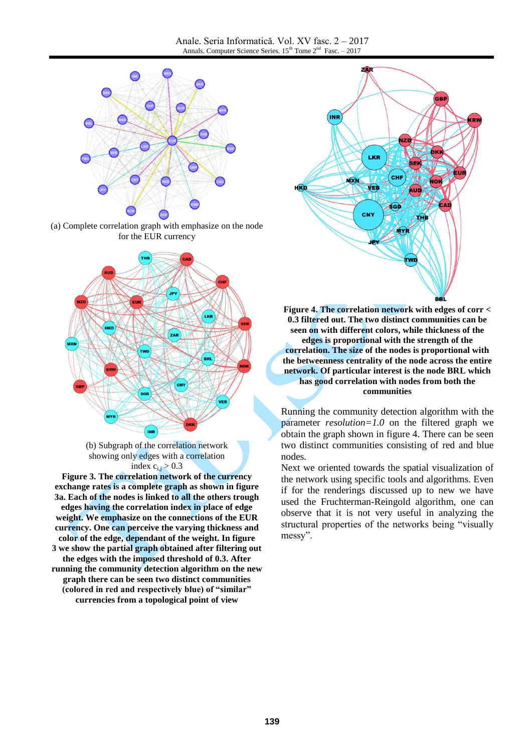

(a) Complete correlation graph with emphasize on the node for the EUR currency



(b) Subgraph of the correlation network showing only edges with a correlation index  $c_{i,j} > 0.3$ 

**Figure 3. The correlation network of the currency exchange rates is a complete graph as shown in figure 3a. Each of the nodes is linked to all the others trough edges having the correlation index in place of edge weight. We emphasize on the connections of the EUR currency. One can perceive the varying thickness and color of the edge, dependant of the weight. In figure 3 we show the partial graph obtained after filtering out the edges with the imposed threshold of 0.3. After running the community detection algorithm on the new graph there can be seen two distinct communities (colored in red and respectively blue) of "similar" currencies from a topological point of view**



**Figure 4. The correlation network with edges of corr < 0.3 filtered out. The two distinct communities can be seen on with different colors, while thickness of the edges is proportional with the strength of the correlation. The size of the nodes is proportional with the betweenness centrality of the node across the entire network. Of particular interest is the node BRL which has good correlation with nodes from both the communities**

Running the community detection algorithm with the parameter *resolution=1.0* on the filtered graph we obtain the graph shown in figure 4. There can be seen two distinct communities consisting of red and blue nodes.

Next we oriented towards the spatial visualization of the network using specific tools and algorithms. Even if for the renderings discussed up to new we have used the Fruchterman-Reingold algorithm, one can observe that it is not very useful in analyzing the structural properties of the networks being "visually messy".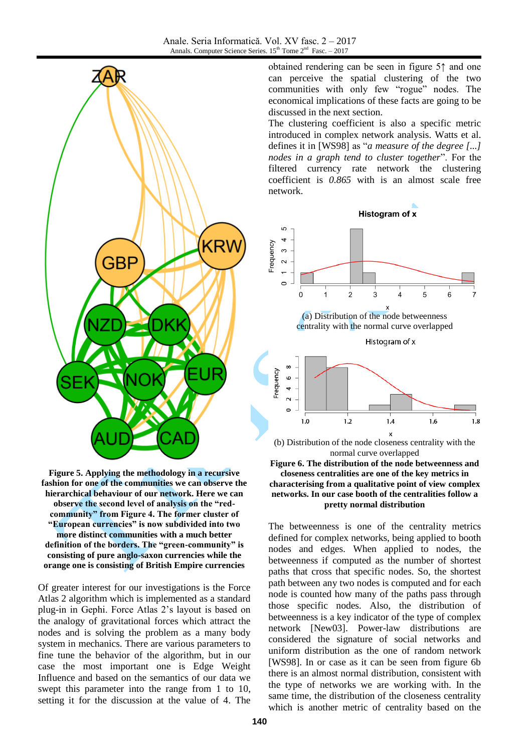

**Figure 5. Applying the methodology in a recursive fashion for one of the communities we can observe the hierarchical behaviour of our network. Here we can observe the second level of analysis on the "redcommunity" from Figure 4. The former cluster of "European currencies" is now subdivided into two more distinct communities with a much better definition of the borders. The "green-community" is consisting of pure anglo-saxon currencies while the orange one is consisting of British Empire currencies**

Of greater interest for our investigations is the Force Atlas 2 algorithm which is implemented as a standard plug-in in Gephi. Force Atlas 2's layout is based on the analogy of gravitational forces which attract the nodes and is solving the problem as a many body system in mechanics. There are various parameters to fine tune the behavior of the algorithm, but in our case the most important one is Edge Weight Influence and based on the semantics of our data we swept this parameter into the range from 1 to 10, setting it for the discussion at the value of 4. The

obtained rendering can be seen in figure 5↑ and one can perceive the spatial clustering of the two communities with only few "rogue" nodes. The economical implications of these facts are going to be discussed in the next section.

The clustering coefficient is also a specific metric introduced in complex network analysis. Watts et al. defines it in [WS98] as "*a measure of the degree [...] nodes in a graph tend to cluster together*". For the filtered currency rate network the clustering coefficient is *0.865* with is an almost scale free network.



(a) Distribution of the node betweenness centrality with the normal curve overlapped

Histogram of x



(b) Distribution of the node closeness centrality with the normal curve overlapped



The betweenness is one of the centrality metrics defined for complex networks, being applied to booth nodes and edges. When applied to nodes, the betweenness if computed as the number of shortest paths that cross that specific nodes. So, the shortest path between any two nodes is computed and for each node is counted how many of the paths pass through those specific nodes. Also, the distribution of betweenness is a key indicator of the type of complex network [New03]. Power-law distributions are considered the signature of social networks and uniform distribution as the one of random network [WS98]. In or case as it can be seen from figure 6b there is an almost normal distribution, consistent with the type of networks we are working with. In the same time, the distribution of the closeness centrality which is another metric of centrality based on the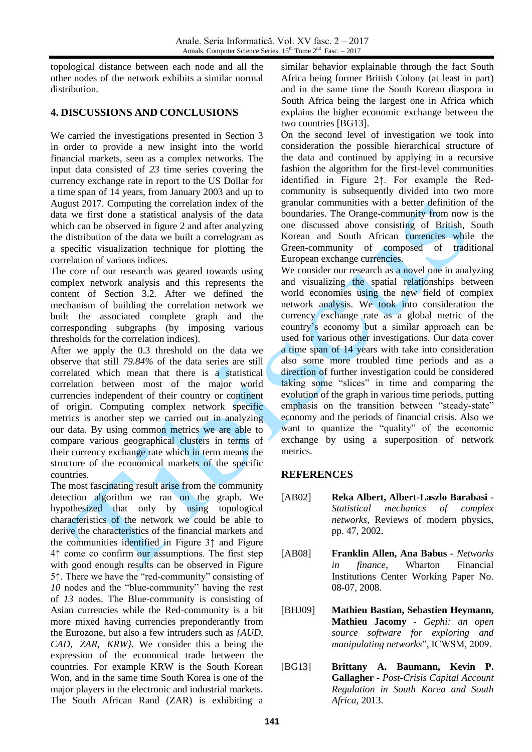topological distance between each node and all the other nodes of the network exhibits a similar normal distribution.

## **4. DISCUSSIONS AND CONCLUSIONS**

We carried the investigations presented in Section 3 in order to provide a new insight into the world financial markets, seen as a complex networks. The input data consisted of *23* time series covering the currency exchange rate in report to the US Dollar for a time span of 14 years, from January 2003 and up to August 2017. Computing the correlation index of the data we first done a statistical analysis of the data which can be observed in figure 2 and after analyzing the distribution of the data we built a correlogram as a specific visualization technique for plotting the correlation of various indices.

The core of our research was geared towards using complex network analysis and this represents the content of Section 3.2. After we defined the mechanism of building the correlation network we built the associated complete graph and the corresponding subgraphs (by imposing various thresholds for the correlation indices).

After we apply the 0.3 threshold on the data we observe that still *79.84%* of the data series are still correlated which mean that there is a statistical correlation between most of the major world currencies independent of their country or continent of origin. Computing complex network specific metrics is another step we carried out in analyzing our data. By using common metrics we are able to compare various geographical clusters in terms of their currency exchange rate which in term means the structure of the economical markets of the specific countries.

The most fascinating result arise from the community detection algorithm we ran on the graph. We hypothesized that only by using topological characteristics of the network we could be able to derive the characteristics of the financial markets and the communities identified in Figure 3↑ and Figure 4↑ come co confirm our assumptions. The first step with good enough results can be observed in Figure 5↑. There we have the "red-community" consisting of *10* nodes and the "blue-community" having the rest of *13* nodes. The Blue-community is consisting of Asian currencies while the Red-community is a bit more mixed having currencies preponderantly from the Eurozone, but also a few intruders such as *{AUD, CAD, ZAR, KRW}*. We consider this a being the expression of the economical trade between the countries. For example KRW is the South Korean Won, and in the same time South Korea is one of the major players in the electronic and industrial markets. The South African Rand (ZAR) is exhibiting a

similar behavior explainable through the fact South Africa being former British Colony (at least in part) and in the same time the South Korean diaspora in South Africa being the largest one in Africa which explains the higher economic exchange between the two countries [BG13].

On the second level of investigation we took into consideration the possible hierarchical structure of the data and continued by applying in a recursive fashion the algorithm for the first-level communities identified in Figure 2↑. For example the Redcommunity is subsequently divided into two more granular communities with a better definition of the boundaries. The Orange-community from now is the one discussed above consisting of British, South Korean and South African currencies while the Green-community of composed of traditional European exchange currencies.

We consider our research as a novel one in analyzing and visualizing the spatial relationships between world economies using the new field of complex network analysis. We took into consideration the currency exchange rate as a global metric of the country's economy but a similar approach can be used for various other investigations. Our data cover a time span of 14 years with take into consideration also some more troubled time periods and as a direction of further investigation could be considered taking some "slices" in time and comparing the evolution of the graph in various time periods, putting emphasis on the transition between "steady-state" economy and the periods of financial crisis. Also we want to quantize the "quality" of the economic exchange by using a superposition of network metrics.

#### **REFERENCES**

- [AB02] **Reka Albert, Albert-Laszlo Barabasi -** *Statistical mechanics of complex networks*, Reviews of modern physics, pp. 47, 2002.
- [AB08] **Franklin Allen, Ana Babus -** *Networks in finance*, Wharton Financial Institutions Center Working Paper No. 08-07, 2008.
- [BHJ09] **Mathieu Bastian, Sebastien Heymann, Mathieu Jacomy -** *Gephi: an open source software for exploring and manipulating networks*", ICWSM, 2009.
- [BG13] **Brittany A. Baumann, Kevin P. Gallagher -** *Post-Crisis Capital Account Regulation in South Korea and South Africa*, 2013.